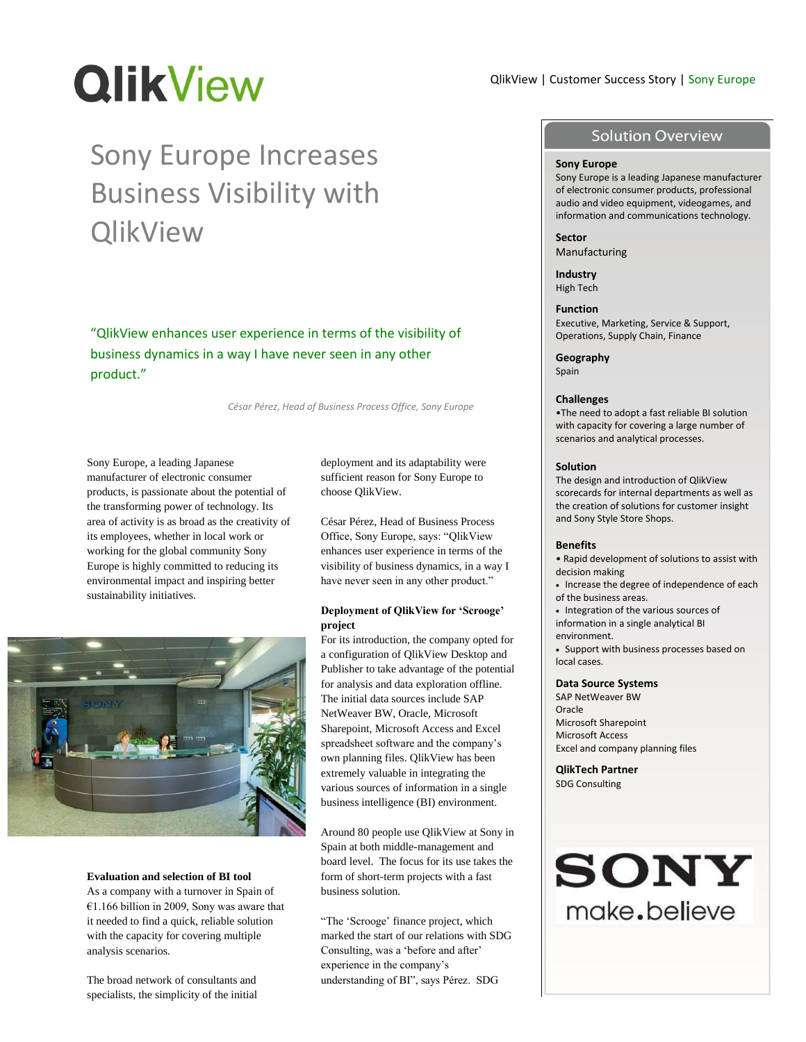# **QlikView**

# Sony Europe Increases Business Visibility with **QlikView**

"QlikView enhances user experience in terms of the visibility of business dynamics in a way I have never seen in any other product."

*César Pérez, Head of Business Process Office, Sony Europe*

Sony Europe, a leading Japanese manufacturer of electronic consumer products, is passionate about the potential of the transforming power of technology. Its area of activity is as broad as the creativity of its employees, whether in local work or working for the global community Sony Europe is highly committed to reducing its environmental impact and inspiring better sustainability initiatives.



#### **Evaluation and selection of BI tool**

As a company with a turnover in Spain of €1.166 billion in 2009, Sony was aware that it needed to find a quick, reliable solution with the capacity for covering multiple analysis scenarios.

The broad network of consultants and specialists, the simplicity of the initial deployment and its adaptability were sufficient reason for Sony Europe to choose QlikView.

César Pérez, Head of Business Process Office, Sony Europe, says: "QlikView enhances user experience in terms of the visibility of business dynamics, in a way I have never seen in any other product."

## **Deployment of QlikView for 'Scrooge' project**

For its introduction, the company opted for a configuration of QlikView Desktop and Publisher to take advantage of the potential for analysis and data exploration offline. The initial data sources include SAP NetWeaver BW, Oracle, Microsoft Sharepoint, Microsoft Access and Excel spreadsheet software and the company"s own planning files. QlikView has been extremely valuable in integrating the various sources of information in a single business intelligence (BI) environment.

Around 80 people use QlikView at Sony in Spain at both middle-management and board level. The focus for its use takes the form of short-term projects with a fast business solution.

"The "Scrooge" finance project, which marked the start of our relations with SDG Consulting, was a 'before and after' experience in the company"s understanding of BI", says Pérez. SDG

# QlikView | Customer Success Story | Sony Europe

# **Solution Overview**

#### **Sony Europe**

Sony Europe is a leading Japanese manufacturer of electronic consumer products, professional audio and video equipment, videogames, and information and communications technology.

**Sector** Manufacturing

**Industry** High Tech

**Function** Executive, Marketing, Service & Support, Operations, Supply Chain, Finance

**Geography**

Spain

#### **Challenges**

•The need to adopt a fast reliable BI solution with capacity for covering a large number of scenarios and analytical processes.

#### **Solution**

The design and introduction of QlikView scorecards for internal departments as well as the creation of solutions for customer insight and Sony Style Store Shops.

#### **Benefits**

• Rapid development of solutions to assist with decision making

- Increase the degree of independence of each of the business areas.
- Integration of the various sources of information in a single analytical BI
- environment.
- Support with business processes based on local cases.

### **Data Source Systems**

SAP NetWeaver BW Oracle Microsoft Sharepoint Microsoft Access Excel and company planning files

**QlikTech Partner** SDG Consulting